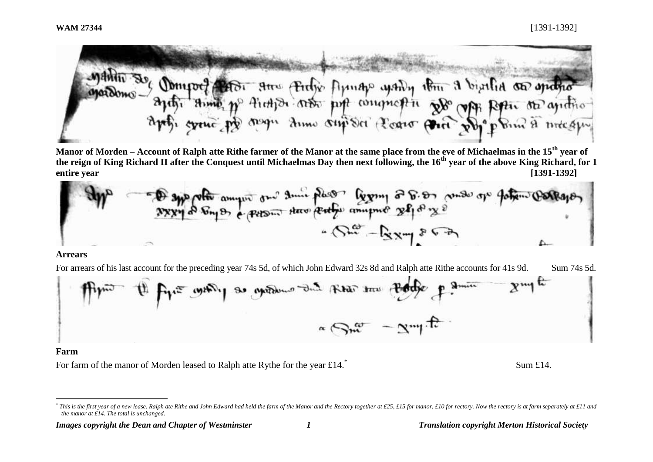

**Manor of Morden – Account of Ralph atte Rithe farmer of the Manor at the same place from the eve of Michaelmas in the 15th year of the reign of King Richard II after the Conquest until Michaelmas Day then next following, the 16th year of the above King Richard, for 1 entire year [1391-1392]**



#### **Arrears**

For arrears of his last account for the preceding year 74s 5d, of which John Edward 32s 8d and Ralph atte Rithe accounts for 41s 9d. Sum 74s 5d.



#### **Farm**

 $\overline{a}$ 

For farm of the manor of Morden leased to Ralph atte Rythe for the year  $\text{\textsterling}14$ .<sup>\*</sup>

*Images copyright the Dean and Chapter of Westminster 1 Translation copyright Merton Historical Society*

Sum £14.

<sup>\*</sup> This is the first year of a new lease. Ralph ate Rithe and John Edward had held the farm of the Manor and the Rectory together at £25, £15 for manor, £10 for rectory. Now the rectory is at farm separately at £11 and *the manor at £14. The total is unchanged.*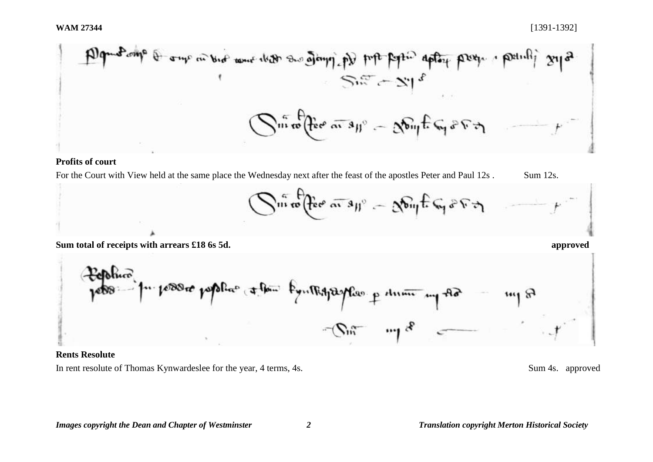| \n $\text{Dq} \rightarrow \text{Dq} \rightarrow \text{Cq} \rightarrow \text{Cq} \rightarrow \text{Cq} \rightarrow \text{Cq} \rightarrow \text{Cq} \rightarrow \text{Cq} \rightarrow \text{Cq} \rightarrow \text{Cq} \rightarrow \text{Cq} \rightarrow \text{Cq} \rightarrow \text{Cq} \rightarrow \text{Cq} \rightarrow \text{Cq} \rightarrow \text{Cq} \rightarrow \text{Cq} \rightarrow \text{Cq} \rightarrow \text{Cq} \rightarrow \text{Cq} \rightarrow \text{Cq} \rightarrow \text{Cq} \rightarrow \text{Cq} \rightarrow \text{Cq} \rightarrow \text{Cq} \rightarrow \text{Cq} \rightarrow \text{Cq} \rightarrow \text{Cq} \rightarrow \text{Cq} \rightarrow \text{Cq} \rightarrow \text{Cq} \rightarrow \text{Cq} \rightarrow \text{Cq} \rightarrow \text{Cq} \rightarrow \text{Cq} \rightarrow \text{Cq} \rightarrow \text{Cq} \rightarrow \text{Cq} \rightarrow \text{Cq} \rightarrow \text{Cq} \rightarrow \text{Cq} \rightarrow \text{Cq} \rightarrow \text{Cq} \rightarrow \text{Cq} \rightarrow \text{Cq} \rightarrow \text{Cq} \rightarrow \text{Cq} \rightarrow \text{Cq} \rightarrow \text{Cq} \rightarrow \text{Cq} \rightarrow \text{Cq} \rightarrow \text{Cq} \rightarrow \text{Cq} \rightarrow \text{Cq} \rightarrow \text{Cq} \rightarrow \text{Cq} \rightarrow \text{Cq} \rightarrow \text{Cq} \rightarrow \text{Cq} \rightarrow \text{Cq} \rightarrow \text{Cq} \rightarrow \text{Cq} \rightarrow \text{Cq} \rightarrow \text{Cq} \rightarrow \text{Cq} \rightarrow \text{Cq} \rightarrow \text{Cq} \rightarrow \text{Cq} \rightarrow \text{Cq} \rightarrow \text{Cq} \rightarrow \text{Cq} \rightarrow \text{Cq} \rightarrow \text{Cq} \rightarrow \text{Cq} \rightarrow \text{Cq} \rightarrow \text{Cq} \rightarrow \text{Cq} \rightarrow \text{Cq} \rightarrow \text{Cq} \rightarrow \text{Cq} \rightarrow \text{Cq} \rightarrow \text{Cq} \rightarrow \text{Cq} \rightarrow \text{Cq} \rightarrow \text{Cq} \rightarrow \text{Cq} \rightarrow \text{Cq} \rightarrow \text{Cq} \rightarrow \text{Cq} \rightarrow \text{Cq} \rightarrow \text{Cq} \rightarrow \text{Cq} \rightarrow \text{Cq} \rightarrow \text{Cq} \$ |
|------------------------------------------------------------------------------------------------------------------------------------------------------------------------------------------------------------------------------------------------------------------------------------------------------------------------------------------------------------------------------------------------------------------------------------------------------------------------------------------------------------------------------------------------------------------------------------------------------------------------------------------------------------------------------------------------------------------------------------------------------------------------------------------------------------------------------------------------------------------------------------------------------------------------------------------------------------------------------------------------------------------------------------------------------------------------------------------------------------------------------------------------------------------------------------------------------------------------------------------------------------------------------------------------------------------------------------------------------------------------------------------------------------------------------------------------------------------------------------------------------------------------------------------------------------------------------------------------------------------------------------------------------------------------------------------------------------------------------------------------------------------------------------------------------------------------------------------------------------------------------------------------------------------------------------------------------------------------------------------------------------------------------------------------------------------------------------------------------------------------------------------------|
|------------------------------------------------------------------------------------------------------------------------------------------------------------------------------------------------------------------------------------------------------------------------------------------------------------------------------------------------------------------------------------------------------------------------------------------------------------------------------------------------------------------------------------------------------------------------------------------------------------------------------------------------------------------------------------------------------------------------------------------------------------------------------------------------------------------------------------------------------------------------------------------------------------------------------------------------------------------------------------------------------------------------------------------------------------------------------------------------------------------------------------------------------------------------------------------------------------------------------------------------------------------------------------------------------------------------------------------------------------------------------------------------------------------------------------------------------------------------------------------------------------------------------------------------------------------------------------------------------------------------------------------------------------------------------------------------------------------------------------------------------------------------------------------------------------------------------------------------------------------------------------------------------------------------------------------------------------------------------------------------------------------------------------------------------------------------------------------------------------------------------------------------|

# **Profits of court**

For the Court with View held at the same place the Wednesday next after the feast of the apostles Peter and Paul 12s . Sum 12s.



**Sum total of receipts with arrears £18 6s 5d. approved**



### **Rents Resolute**

In rent resolute of Thomas Kynwardeslee for the year, 4 terms, 4s. Sum 4s. approved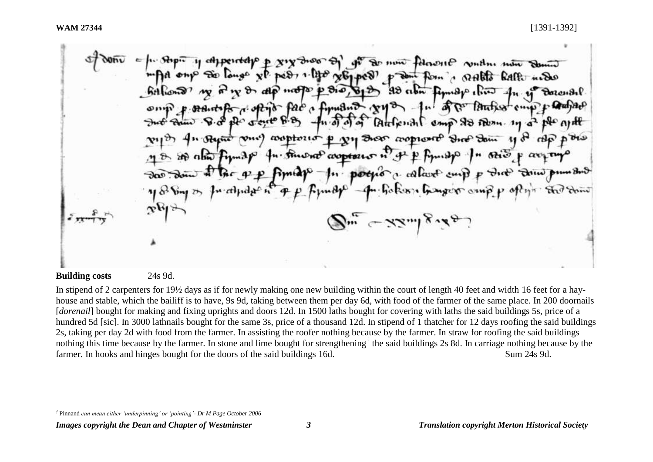adjected p six two of of a now followed view now down Tongs xp. pers, 1.140 x61 pers, promit from a stable halft under  $\mathbb{P}$   $\mathbb{P}$   $\mathbb{S}_1 \mathbb{S}_1 \mathbb{S}_2$ dlp not  $93$  about  $\lim_{n \to \infty}$  about  $4n \cdot i$  $Bacn9.$ fundad very fall of the Pathon cup p touting **Rac** Atthering comp 23 Bern. 19 a ple ant cooptons p vy Door coopwort Drop Dom 11 of the the Drop approaches in of p fymogo. " Rio p average  $n/m$ pother a collare and p dire trim pumber hokers hanger omp p oftyr the dom  $j_{\mu\nu} \sim \lambda \lambda_{\mu\lambda} j_{\nu} \lambda_{\beta\lambda}$ 

#### **Building costs** 24s 9d.

l

In stipend of 2 carpenters for 19½ days as if for newly making one new building within the court of length 40 feet and width 16 feet for a hayhouse and stable, which the bailiff is to have, 9s 9d, taking between them per day 6d, with food of the farmer of the same place. In 200 doornails [*dorenail*] bought for making and fixing uprights and doors 12d. In 1500 laths bought for covering with laths the said buildings 5s, price of a hundred 5d [sic]. In 3000 lathnails bought for the same 3s, price of a thousand 12d. In stipend of 1 thatcher for 12 days roofing the said buildings 2s, taking per day 2d with food from the farmer. In assisting the roofer nothing because by the farmer. In straw for roofing the said buildings nothing this time because by the farmer. In stone and lime bought for strengthening<sup>†</sup> the said buildings 2s 8d. In carriage nothing because by the farmer. In hooks and hinges bought for the doors of the said buildings 16d. Sum 24s 9d.

*<sup>†</sup>* Pinnand *can mean either 'underpinning' or 'pointing'- Dr M Page October 2006*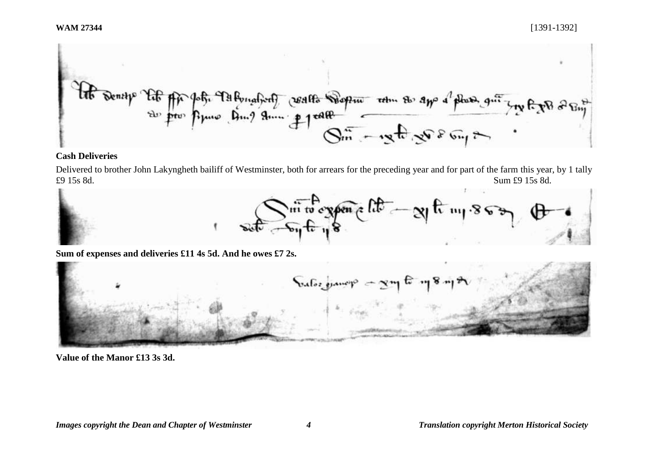

## **Cash Deliveries**

Delivered to brother John Lakyngheth bailiff of Westminster, both for arrears for the preceding year and for part of the farm this year, by 1 tally £9 15s 8d. Sum £9 15s 8d.



**Sum of expenses and deliveries £11 4s 5d. And he owes £7 2s.** 



**Value of the Manor £13 3s 3d.**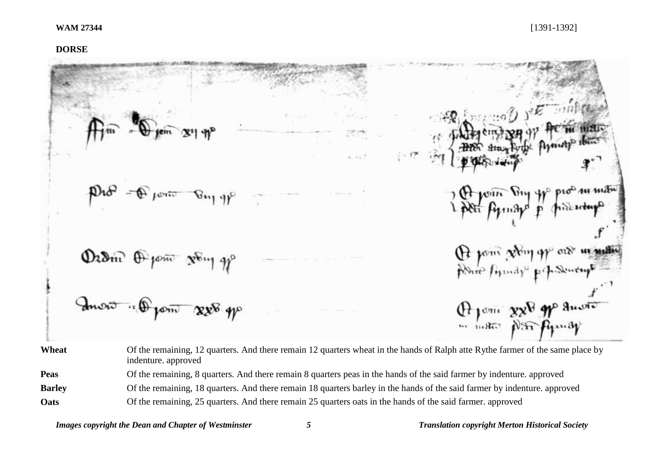# **DORSE**

|               | $A_{\text{min}} = \bigoplus_{\text{min}} \text{min}$ $x_1 \cdot y^2$                                                                                  | $\mathbb{R}^{n}$ $\mathbb{R}^{n}$ |
|---------------|-------------------------------------------------------------------------------------------------------------------------------------------------------|-----------------------------------|
|               | Pro - Promo Buy yp                                                                                                                                    | 2 Politic Dry of production       |
|               | Dram Open song go                                                                                                                                     | Or point giving of our in matin   |
|               | Invit " Open 828 gp                                                                                                                                   | Of your 828 gp anoto              |
| Wheat         | Of the remaining, 12 quarters. And there remain 12 quarters wheat in the hands of Ralph atte Rythe farmer of the same place by<br>indenture. approved |                                   |
| <b>Peas</b>   | Of the remaining, 8 quarters. And there remain 8 quarters peas in the hands of the said farmer by indenture. approved                                 |                                   |
| <b>Barley</b> | Of the remaining, 18 quarters. And there remain 18 quarters barley in the hands of the said farmer by indenture. approved                             |                                   |

**Oats** Of the remaining, 25 quarters. And there remain 25 quarters oats in the hands of the said farmer. approved

*Images copyright the Dean and Chapter of Westminster 5 Translation copyright Merton Historical Society*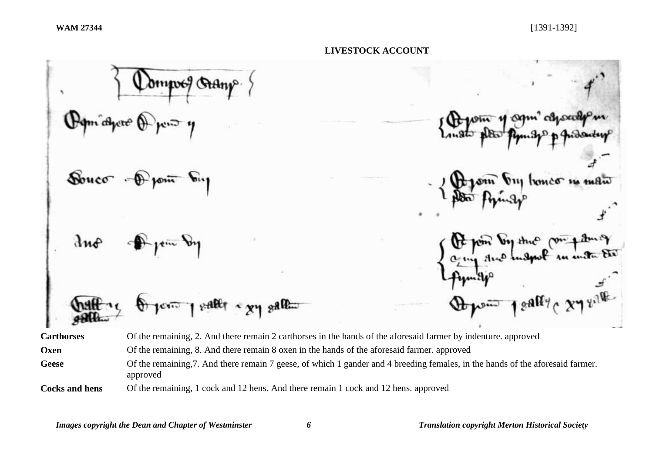dmposf Souco  $281$  $x$ allet  $\sim$   $x$  $y$   $g$ all $x$ **Carthorses** Of the remaining, 2. And there remain 2 carthorses in the hands of the aforesaid farmer by indenture. approved

**Oxen** Of the remaining, 8. And there remain 8 oxen in the hands of the aforesaid farmer. approved

Geese Of the remaining, 7. And there remain 7 geese, of which 1 gander and 4 breeding females, in the hands of the aforesaid farmer. approved

**Cocks and hens** Of the remaining, 1 cock and 12 hens. And there remain 1 cock and 12 hens. approved